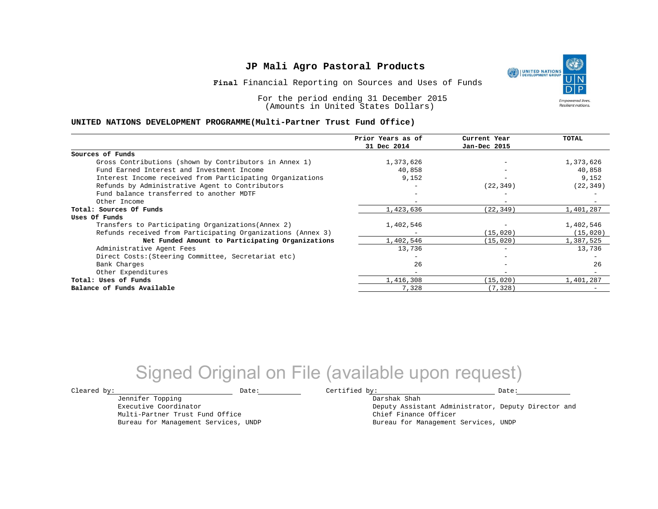**Final** Financial Reporting on Sources and Uses of Funds

For the period ending 31 December 2015 (Amounts in United States Dollars)

#### **UNITED NATIONS DEVELOPMENT PROGRAMME(Multi-Partner Trust Fund Office)**

|                                                             | Prior Years as of<br>31 Dec 2014 | Current Year<br>Jan-Dec 2015 | TOTAL     |
|-------------------------------------------------------------|----------------------------------|------------------------------|-----------|
|                                                             |                                  |                              |           |
| Sources of Funds                                            |                                  |                              |           |
| Gross Contributions (shown by Contributors in Annex 1)      | 1,373,626                        |                              | 1,373,626 |
| Fund Earned Interest and Investment Income                  | 40,858                           |                              | 40,858    |
| Interest Income received from Participating Organizations   | 9,152                            | -                            | 9,152     |
| Refunds by Administrative Agent to Contributors             |                                  | (22, 349)                    | (22, 349) |
| Fund balance transferred to another MDTF                    |                                  |                              |           |
| Other Income                                                |                                  |                              |           |
| Total: Sources Of Funds                                     | 1,423,636                        | (22, 349)                    | 1,401,287 |
| Uses Of Funds                                               |                                  |                              |           |
| Transfers to Participating Organizations (Annex 2)          | 1,402,546                        |                              | 1,402,546 |
| Refunds received from Participating Organizations (Annex 3) |                                  | (15, 020)                    | (15, 020) |
| Net Funded Amount to Participating Organizations            | 1,402,546                        | (15, 020)                    | 1,387,525 |
| Administrative Agent Fees                                   | 13,736                           | $-$                          | 13,736    |
| Direct Costs: (Steering Committee, Secretariat etc)         |                                  | $\overline{\phantom{0}}$     |           |
| Bank Charges                                                | 26                               | -                            | 26        |
| Other Expenditures                                          |                                  | $\qquad \qquad \blacksquare$ |           |
| Total: Uses of Funds                                        | 1,416,308                        | (15, 020)                    | 1,401,287 |
| Balance of Funds Available                                  | 7,328                            | (7, 328)                     |           |

## Signed Original on File (available upon request)

Jennifer Topping Executive Coordinator Multi-Partner Trust Fund Office Bureau for Management Services, UNDP

 $\texttt{Cleared by:}\footnotesize \begin{minipage}{0.9\linewidth} \texttt{Date:}\footnotesize \begin{minipage}{0.9\linewidth} \texttt{Date:}\footnotesize \begin{minipage}{0.9\linewidth} \end{minipage} \end{minipage}$ 

Darshak Shah Deputy Assistant Administrator, Deputy Director and Chief Finance Officer Bureau for Management Services, UNDP

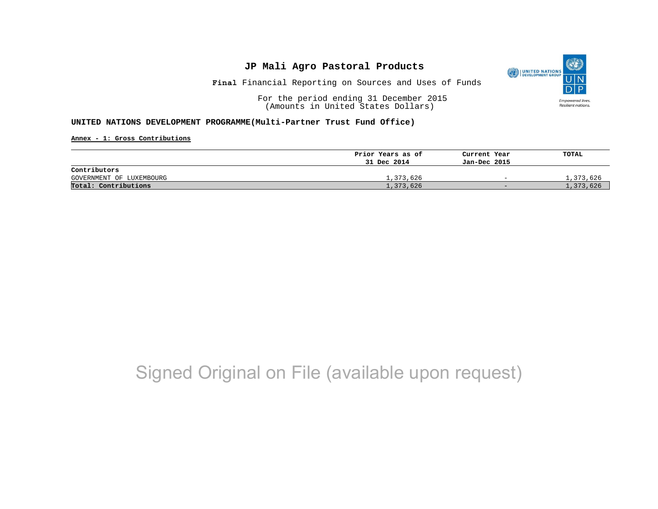

**Final** Financial Reporting on Sources and Uses of Funds

For the period ending 31 December 2015 (Amounts in United States Dollars)

#### **UNITED NATIONS DEVELOPMENT PROGRAMME(Multi-Partner Trust Fund Office)**

**Annex - 1: Gross Contributions**

|                          | Prior Years as of | Current Year             | TOTAL     |
|--------------------------|-------------------|--------------------------|-----------|
|                          | 31 Dec 2014       | Jan-Dec 2015             |           |
| Contributors             |                   |                          |           |
| GOVERNMENT OF LUXEMBOURG | 1,373,626         | $\overline{\phantom{a}}$ | 1,373,626 |
| Total: Contributions     | 1,373,626         | $\sim$                   | 1,373,626 |

## Signed Original on File (available upon request)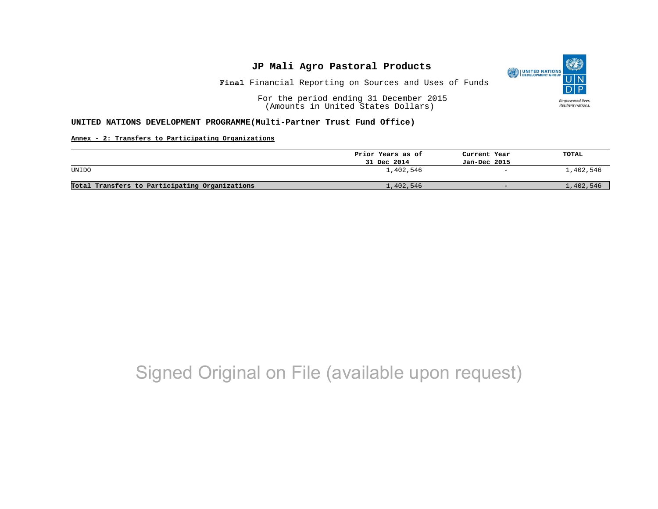

**Final** Financial Reporting on Sources and Uses of Funds

For the period ending 31 December 2015 (Amounts in United States Dollars)

#### **UNITED NATIONS DEVELOPMENT PROGRAMME(Multi-Partner Trust Fund Office)**

### **Annex - 2: Transfers to Participating Organizations**

|                                                | Prior Years as of | Current Year | TOTAL     |
|------------------------------------------------|-------------------|--------------|-----------|
|                                                | 31 Dec 2014       | Jan-Dec 2015 |           |
| UNIDO                                          | 1,402,546         | $-$          | 1,402,546 |
| Total Transfers to Participating Organizations | 1,402,546         | $\sim$       | 1,402,546 |

# Signed Original on File (available upon request)